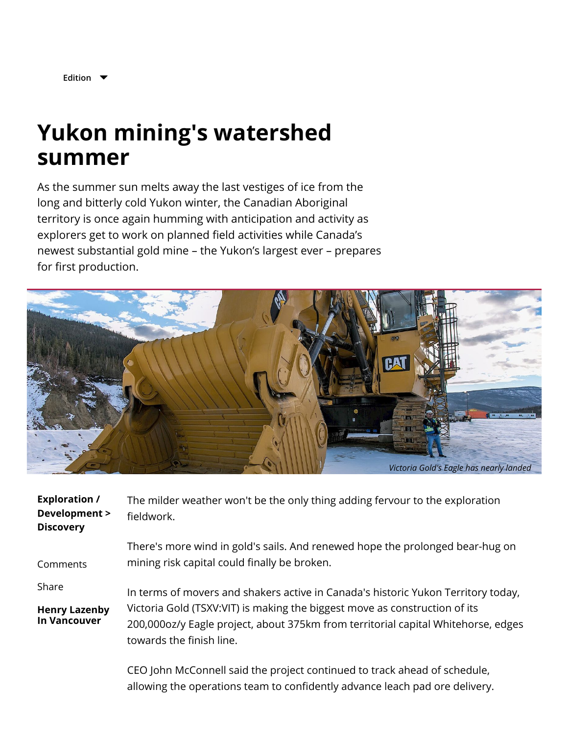

**[Edition](javascript:void(0);)**

## **Yukon mining's watershed summer**

As the summer sun melts away the last vestiges of ice from the long and bitterly cold Yukon winter, the Canadian Aboriginal territory is once again humming with anticipation and activity as explorers get to work on planned field activities while Canada's newest substantial gold mine – the Yukon's largest ever – prepares for first production.



| <b>Exploration /</b><br>Development ><br><b>Discovery</b> | The milder weather won't be the only thing adding fervour to the exploration<br>fieldwork.                                                                                                                                                                                       |
|-----------------------------------------------------------|----------------------------------------------------------------------------------------------------------------------------------------------------------------------------------------------------------------------------------------------------------------------------------|
| Comments                                                  | There's more wind in gold's sails. And renewed hope the prolonged bear-hug on<br>mining risk capital could finally be broken.                                                                                                                                                    |
| Share<br><b>Henry Lazenby</b><br><b>In Vancouver</b>      | In terms of movers and shakers active in Canada's historic Yukon Territory today,<br>Victoria Gold (TSXV:VIT) is making the biggest move as construction of its<br>200,000oz/y Eagle project, about 375km from territorial capital Whitehorse, edges<br>towards the finish line. |

CEO John McConnell said the project continued to track ahead of schedule, allowing the operations team to confidently advance leach pad ore delivery.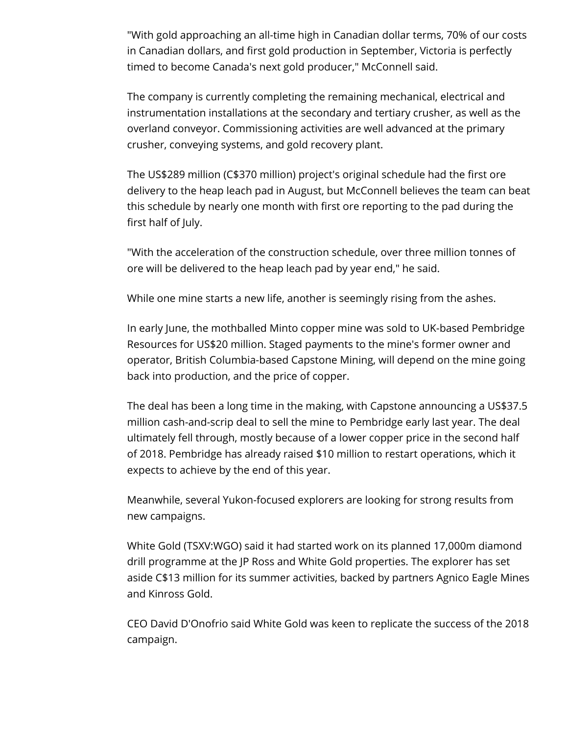"With gold approaching an all-time high in Canadian dollar terms, 70% of our costs in Canadian dollars, and first gold production in September, Victoria is perfectly timed to become Canada's next gold producer," McConnell said.

The company is currently completing the remaining mechanical, electrical and instrumentation installations at the secondary and tertiary crusher, as well as the overland conveyor. Commissioning activities are well advanced at the primary crusher, conveying systems, and gold recovery plant.

The US\$289 million (C\$370 million) project's original schedule had the first ore delivery to the heap leach pad in August, but McConnell believes the team can beat this schedule by nearly one month with first ore reporting to the pad during the first half of July.

"With the acceleration of the construction schedule, over three million tonnes of ore will be delivered to the heap leach pad by year end," he said.

While one mine starts a new life, another is seemingly rising from the ashes.

In early June, the mothballed Minto copper mine was sold to UK-based Pembridge Resources for US\$20 million. Staged payments to the mine's former owner and operator, British Columbia-based Capstone Mining, will depend on the mine going back into production, and the price of copper.

The deal has been a long time in the making, with Capstone announcing a US\$37.5 million cash-and-scrip deal to sell the mine to Pembridge early last year. The deal ultimately fell through, mostly because of a lower copper price in the second half of 2018. Pembridge has already raised \$10 million to restart operations, which it expects to achieve by the end of this year.

Meanwhile, several Yukon-focused explorers are looking for strong results from new campaigns.

White Gold (TSXV:WGO) said it had started work on its planned 17,000m diamond drill programme at the JP Ross and White Gold properties. The explorer has set aside C\$13 million for its summer activities, backed by partners Agnico Eagle Mines and Kinross Gold.

CEO David D'Onofrio said White Gold was keen to replicate the success of the 2018 campaign.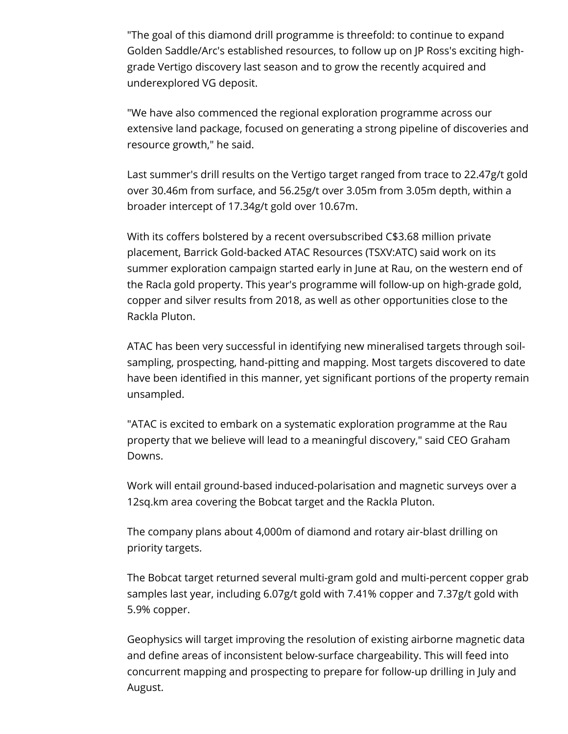"The goal of this diamond drill programme is threefold: to continue to expand Golden Saddle/Arc's established resources, to follow up on JP Ross's exciting highgrade Vertigo discovery last season and to grow the recently acquired and underexplored VG deposit.

"We have also commenced the regional exploration programme across our extensive land package, focused on generating a strong pipeline of discoveries and resource growth," he said.

Last summer's drill results on the Vertigo target ranged from trace to 22.47g/t gold over 30.46m from surface, and 56.25g/t over 3.05m from 3.05m depth, within a broader intercept of 17.34g/t gold over 10.67m.

With its coffers bolstered by a recent oversubscribed C\$3.68 million private placement, Barrick Gold-backed ATAC Resources (TSXV:ATC) said work on its summer exploration campaign started early in June at Rau, on the western end of the Racla gold property. This year's programme will follow-up on high-grade gold, copper and silver results from 2018, as well as other opportunities close to the Rackla Pluton.

ATAC has been very successful in identifying new mineralised targets through soilsampling, prospecting, hand-pitting and mapping. Most targets discovered to date have been identified in this manner, yet significant portions of the property remain unsampled.

"ATAC is excited to embark on a systematic exploration programme at the Rau property that we believe will lead to a meaningful discovery," said CEO Graham Downs.

Work will entail ground-based induced-polarisation and magnetic surveys over a 12sq.km area covering the Bobcat target and the Rackla Pluton.

The company plans about 4,000m of diamond and rotary air-blast drilling on priority targets.

The Bobcat target returned several multi-gram gold and multi-percent copper grab samples last year, including 6.07g/t gold with 7.41% copper and 7.37g/t gold with 5.9% copper.

Geophysics will target improving the resolution of existing airborne magnetic data and define areas of inconsistent below-surface chargeability. This will feed into concurrent mapping and prospecting to prepare for follow-up drilling in July and August.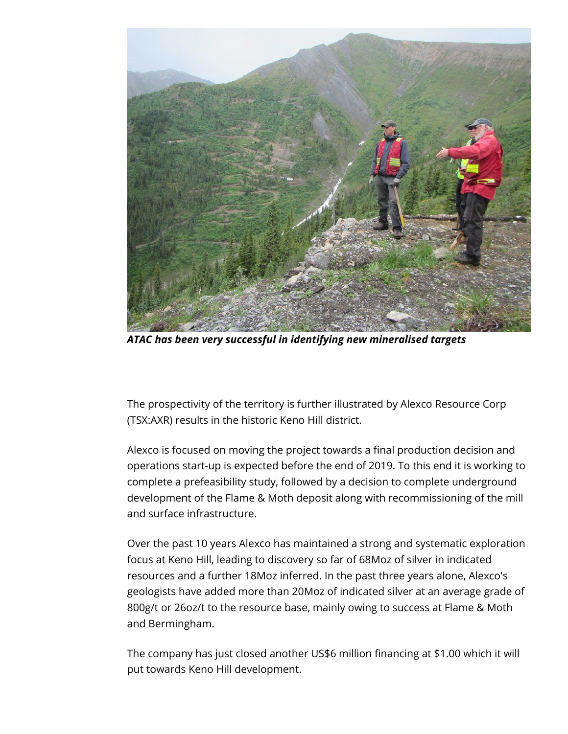

*ATAC has been very successful in identifying new mineralised targets*

The prospectivity of the territory is further illustrated by Alexco Resource Corp (TSX:AXR) results in the historic Keno Hill district.

Alexco is focused on moving the project towards a final production decision and operations start-up is expected before the end of 2019. To this end it is working to complete a prefeasibility study, followed by a decision to complete underground development of the Flame & Moth deposit along with recommissioning of the mill and surface infrastructure.

Over the past 10 years Alexco has maintained a strong and systematic exploration focus at Keno Hill, leading to discovery so far of 68Moz of silver in indicated resources and a further 18Moz inferred. In the past three years alone, Alexco's geologists have added more than 20Moz of indicated silver at an average grade of 800g/t or 26oz/t to the resource base, mainly owing to success at Flame & Moth and Bermingham.

The company has just closed another US\$6 million financing at \$1.00 which it will put towards Keno Hill development.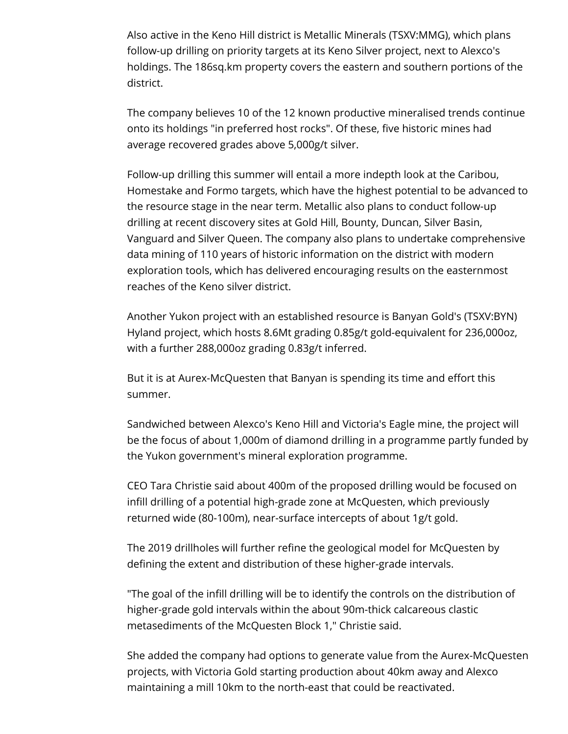Also active in the Keno Hill district is Metallic Minerals (TSXV:MMG), which plans follow-up drilling on priority targets at its Keno Silver project, next to Alexco's holdings. The 186sq.km property covers the eastern and southern portions of the district.

The company believes 10 of the 12 known productive mineralised trends continue onto its holdings "in preferred host rocks". Of these, five historic mines had average recovered grades above 5,000g/t silver.

Follow-up drilling this summer will entail a more indepth look at the Caribou, Homestake and Formo targets, which have the highest potential to be advanced to the resource stage in the near term. Metallic also plans to conduct follow-up drilling at recent discovery sites at Gold Hill, Bounty, Duncan, Silver Basin, Vanguard and Silver Queen. The company also plans to undertake comprehensive data mining of 110 years of historic information on the district with modern exploration tools, which has delivered encouraging results on the easternmost reaches of the Keno silver district.

Another Yukon project with an established resource is Banyan Gold's (TSXV:BYN) Hyland project, which hosts 8.6Mt grading 0.85g/t gold-equivalent for 236,000oz, with a further 288,000oz grading 0.83g/t inferred.

But it is at Aurex-McQuesten that Banyan is spending its time and effort this summer.

Sandwiched between Alexco's Keno Hill and Victoria's Eagle mine, the project will be the focus of about 1,000m of diamond drilling in a programme partly funded by the Yukon government's mineral exploration programme.

CEO Tara Christie said about 400m of the proposed drilling would be focused on infill drilling of a potential high-grade zone at McQuesten, which previously returned wide (80-100m), near-surface intercepts of about 1g/t gold.

The 2019 drillholes will further refine the geological model for McQuesten by defining the extent and distribution of these higher-grade intervals.

"The goal of the infill drilling will be to identify the controls on the distribution of higher-grade gold intervals within the about 90m-thick calcareous clastic metasediments of the McQuesten Block 1," Christie said.

She added the company had options to generate value from the Aurex-McQuesten projects, with Victoria Gold starting production about 40km away and Alexco maintaining a mill 10km to the north-east that could be reactivated.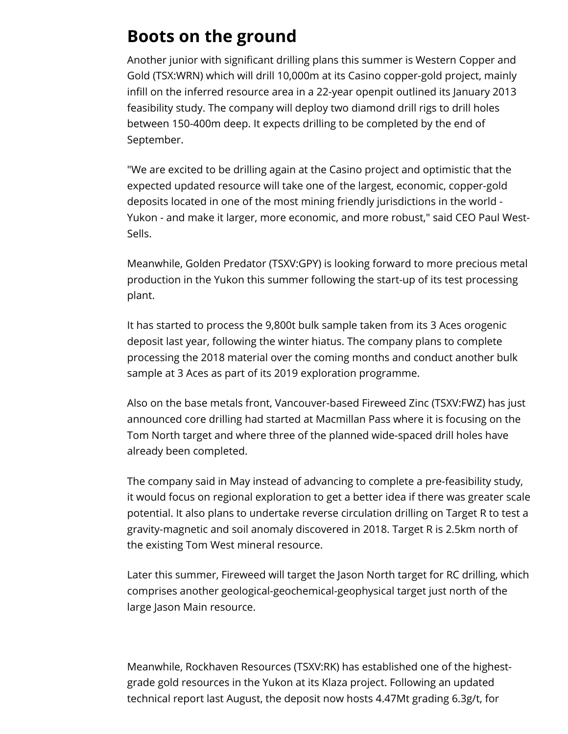## **Boots on the ground**

Another junior with significant drilling plans this summer is Western Copper and Gold (TSX:WRN) which will drill 10,000m at its Casino copper-gold project, mainly infill on the inferred resource area in a 22-year openpit outlined its January 2013 feasibility study. The company will deploy two diamond drill rigs to drill holes between 150-400m deep. It expects drilling to be completed by the end of September.

"We are excited to be drilling again at the Casino project and optimistic that the expected updated resource will take one of the largest, economic, copper-gold deposits located in one of the most mining friendly jurisdictions in the world - Yukon - and make it larger, more economic, and more robust," said CEO Paul West-Sells.

Meanwhile, Golden Predator (TSXV:GPY) is looking forward to more precious metal production in the Yukon this summer following the start-up of its test processing plant.

It has started to process the 9,800t bulk sample taken from its 3 Aces orogenic deposit last year, following the winter hiatus. The company plans to complete processing the 2018 material over the coming months and conduct another bulk sample at 3 Aces as part of its 2019 exploration programme.

Also on the base metals front, Vancouver-based Fireweed Zinc (TSXV:FWZ) has just announced core drilling had started at Macmillan Pass where it is focusing on the Tom North target and where three of the planned wide-spaced drill holes have already been completed.

The company said in May instead of advancing to complete a pre-feasibility study, it would focus on regional exploration to get a better idea if there was greater scale potential. It also plans to undertake reverse circulation drilling on Target R to test a gravity-magnetic and soil anomaly discovered in 2018. Target R is 2.5km north of the existing Tom West mineral resource.

Later this summer, Fireweed will target the Jason North target for RC drilling, which comprises another geological-geochemical-geophysical target just north of the large Jason Main resource.

Meanwhile, Rockhaven Resources (TSXV:RK) has established one of the highestgrade gold resources in the Yukon at its Klaza project. Following an updated technical report last August, the deposit now hosts 4.47Mt grading 6.3g/t, for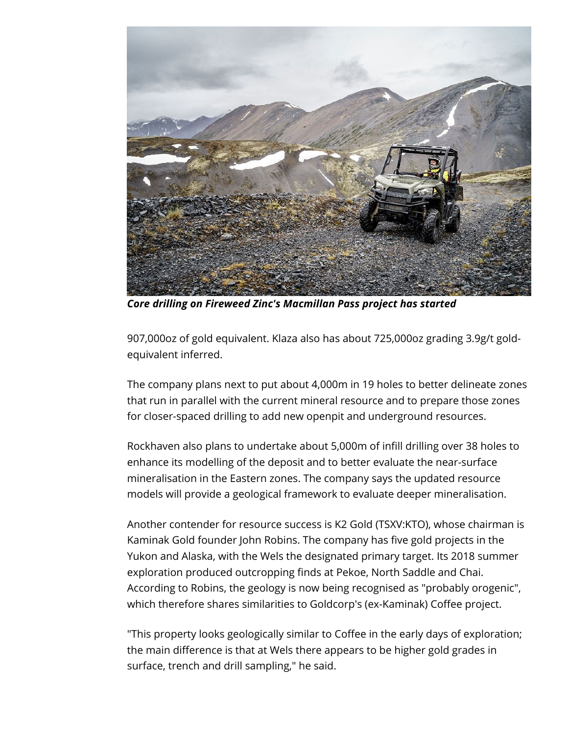

*Core drilling on Fireweed Zinc's Macmillan Pass project has started*

907,000oz of gold equivalent. Klaza also has about 725,000oz grading 3.9g/t goldequivalent inferred.

The company plans next to put about 4,000m in 19 holes to better delineate zones that run in parallel with the current mineral resource and to prepare those zones for closer-spaced drilling to add new openpit and underground resources.

Rockhaven also plans to undertake about 5,000m of infill drilling over 38 holes to enhance its modelling of the deposit and to better evaluate the near-surface mineralisation in the Eastern zones. The company says the updated resource models will provide a geological framework to evaluate deeper mineralisation.

Another contender for resource success is K2 Gold (TSXV:KTO), whose chairman is Kaminak Gold founder John Robins. The company has five gold projects in the Yukon and Alaska, with the Wels the designated primary target. Its 2018 summer exploration produced outcropping finds at Pekoe, North Saddle and Chai. According to Robins, the geology is now being recognised as "probably orogenic", which therefore shares similarities to Goldcorp's (ex-Kaminak) Coffee project.

"This property looks geologically similar to Coffee in the early days of exploration; the main difference is that at Wels there appears to be higher gold grades in surface, trench and drill sampling," he said.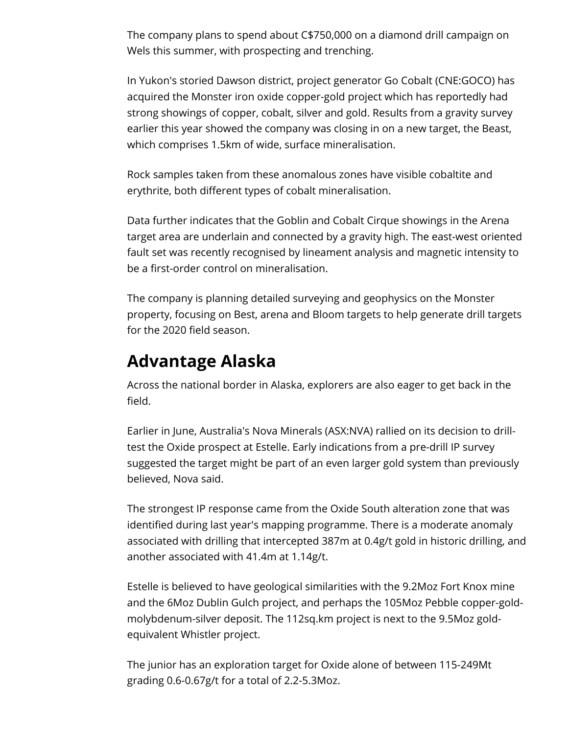The company plans to spend about C\$750,000 on a diamond drill campaign on Wels this summer, with prospecting and trenching.

In Yukon's storied Dawson district, project generator Go Cobalt (CNE:GOCO) has acquired the Monster iron oxide copper-gold project which has reportedly had strong showings of copper, cobalt, silver and gold. Results from a gravity survey earlier this year showed the company was closing in on a new target, the Beast, which comprises 1.5km of wide, surface mineralisation.

Rock samples taken from these anomalous zones have visible cobaltite and erythrite, both different types of cobalt mineralisation.

Data further indicates that the Goblin and Cobalt Cirque showings in the Arena target area are underlain and connected by a gravity high. The east-west oriented fault set was recently recognised by lineament analysis and magnetic intensity to be a first-order control on mineralisation.

The company is planning detailed surveying and geophysics on the Monster property, focusing on Best, arena and Bloom targets to help generate drill targets for the 2020 field season.

## **Advantage Alaska**

Across the national border in Alaska, explorers are also eager to get back in the field.

Earlier in June, Australia's Nova Minerals (ASX:NVA) rallied on its decision to drilltest the Oxide prospect at Estelle. Early indications from a pre-drill IP survey suggested the target might be part of an even larger gold system than previously believed, Nova said.

The strongest IP response came from the Oxide South alteration zone that was identified during last year's mapping programme. There is a moderate anomaly associated with drilling that intercepted 387m at 0.4g/t gold in historic drilling, and another associated with 41.4m at 1.14g/t.

Estelle is believed to have geological similarities with the 9.2Moz Fort Knox mine and the 6Moz Dublin Gulch project, and perhaps the 105Moz Pebble copper-goldmolybdenum-silver deposit. The 112sq.km project is next to the 9.5Moz goldequivalent Whistler project.

The junior has an exploration target for Oxide alone of between 115-249Mt grading 0.6-0.67g/t for a total of 2.2-5.3Moz.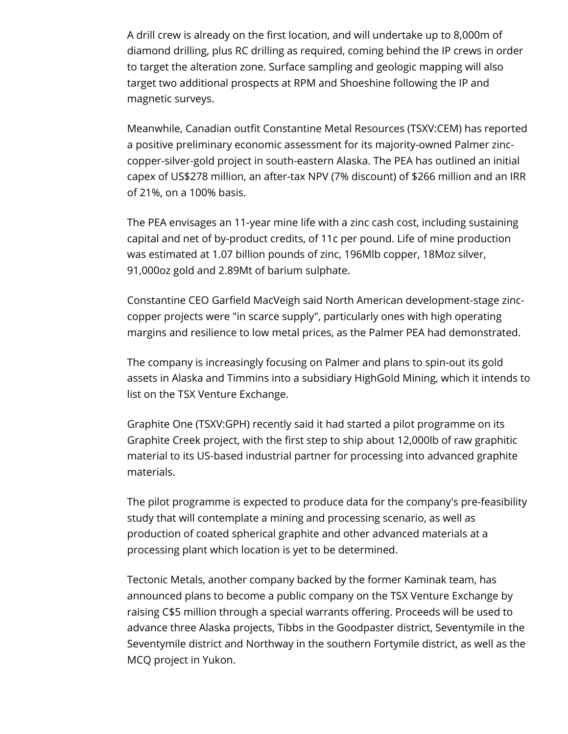A drill crew is already on the first location, and will undertake up to 8,000m of diamond drilling, plus RC drilling as required, coming behind the IP crews in order to target the alteration zone. Surface sampling and geologic mapping will also target two additional prospects at RPM and Shoeshine following the IP and magnetic surveys.

Meanwhile, Canadian outfit Constantine Metal Resources (TSXV:CEM) has reported a positive preliminary economic assessment for its majority-owned Palmer zinccopper-silver-gold project in south-eastern Alaska. The PEA has outlined an initial capex of US\$278 million, an after-tax NPV (7% discount) of \$266 million and an IRR of 21%, on a 100% basis.

The PEA envisages an 11-year mine life with a zinc cash cost, including sustaining capital and net of by-product credits, of 11c per pound. Life of mine production was estimated at 1.07 billion pounds of zinc, 196Mlb copper, 18Moz silver, 91,000oz gold and 2.89Mt of barium sulphate.

Constantine CEO Garfield MacVeigh said North American development-stage zinccopper projects were "in scarce supply", particularly ones with high operating margins and resilience to low metal prices, as the Palmer PEA had demonstrated.

The company is increasingly focusing on Palmer and plans to spin-out its gold assets in Alaska and Timmins into a subsidiary HighGold Mining, which it intends to list on the TSX Venture Exchange.

Graphite One (TSXV:GPH) recently said it had started a pilot programme on its Graphite Creek project, with the first step to ship about 12,000lb of raw graphitic material to its US-based industrial partner for processing into advanced graphite materials.

The pilot programme is expected to produce data for the company's pre-feasibility study that will contemplate a mining and processing scenario, as well as production of coated spherical graphite and other advanced materials at a processing plant which location is yet to be determined.

Tectonic Metals, another company backed by the former Kaminak team, has announced plans to become a public company on the TSX Venture Exchange by raising C\$5 million through a special warrants offering. Proceeds will be used to advance three Alaska projects, Tibbs in the Goodpaster district, Seventymile in the Seventymile district and Northway in the southern Fortymile district, as well as the MCQ project in Yukon.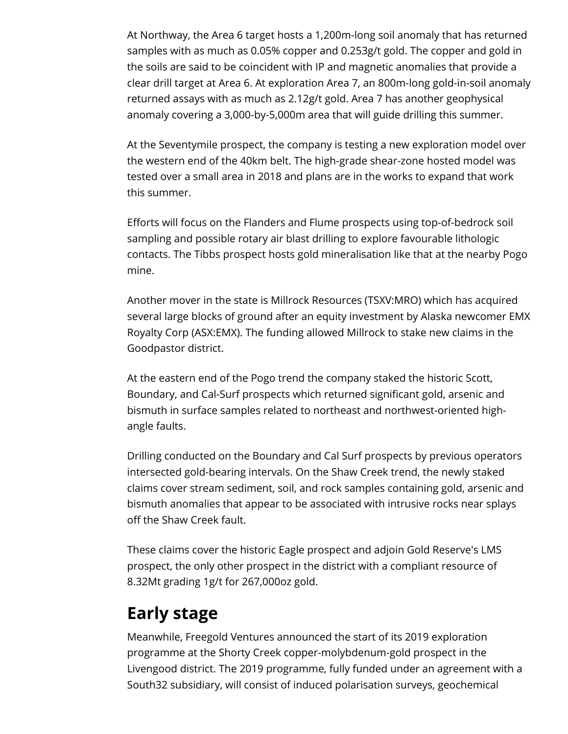At Northway, the Area 6 target hosts a 1,200m-long soil anomaly that has returned samples with as much as 0.05% copper and 0.253g/t gold. The copper and gold in the soils are said to be coincident with IP and magnetic anomalies that provide a clear drill target at Area 6. At exploration Area 7, an 800m-long gold-in-soil anomaly returned assays with as much as 2.12g/t gold. Area 7 has another geophysical anomaly covering a 3,000-by-5,000m area that will guide drilling this summer.

At the Seventymile prospect, the company is testing a new exploration model over the western end of the 40km belt. The high-grade shear-zone hosted model was tested over a small area in 2018 and plans are in the works to expand that work this summer.

Efforts will focus on the Flanders and Flume prospects using top-of-bedrock soil sampling and possible rotary air blast drilling to explore favourable lithologic contacts. The Tibbs prospect hosts gold mineralisation like that at the nearby Pogo mine.

Another mover in the state is Millrock Resources (TSXV:MRO) which has acquired several large blocks of ground after an equity investment by Alaska newcomer EMX Royalty Corp (ASX:EMX). The funding allowed Millrock to stake new claims in the Goodpastor district.

At the eastern end of the Pogo trend the company staked the historic Scott, Boundary, and Cal-Surf prospects which returned significant gold, arsenic and bismuth in surface samples related to northeast and northwest-oriented highangle faults.

Drilling conducted on the Boundary and Cal Surf prospects by previous operators intersected gold-bearing intervals. On the Shaw Creek trend, the newly staked claims cover stream sediment, soil, and rock samples containing gold, arsenic and bismuth anomalies that appear to be associated with intrusive rocks near splays off the Shaw Creek fault.

These claims cover the historic Eagle prospect and adjoin Gold Reserve's LMS prospect, the only other prospect in the district with a compliant resource of 8.32Mt grading 1g/t for 267,000oz gold.

## **Early stage**

Meanwhile, Freegold Ventures announced the start of its 2019 exploration programme at the Shorty Creek copper-molybdenum-gold prospect in the Livengood district. The 2019 programme, fully funded under an agreement with a South32 subsidiary, will consist of induced polarisation surveys, geochemical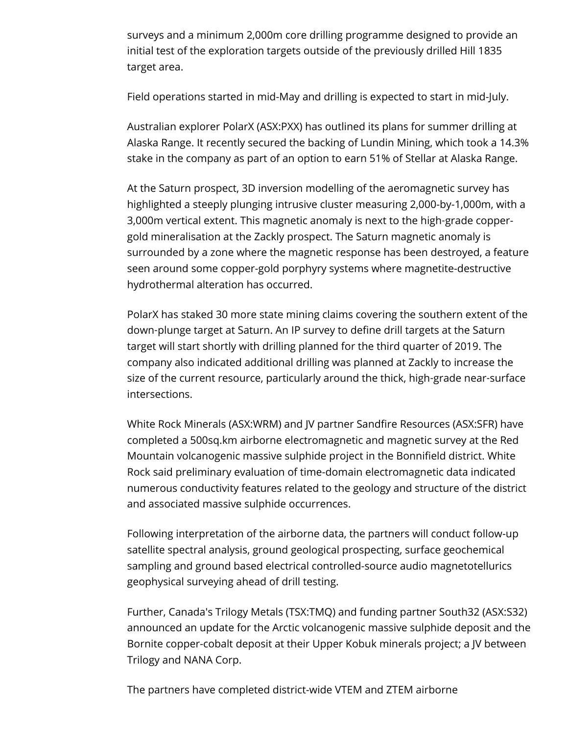surveys and a minimum 2,000m core drilling programme designed to provide an initial test of the exploration targets outside of the previously drilled Hill 1835 target area.

Field operations started in mid-May and drilling is expected to start in mid-July.

Australian explorer PolarX (ASX:PXX) has outlined its plans for summer drilling at Alaska Range. It recently secured the backing of Lundin Mining, which took a 14.3% stake in the company as part of an option to earn 51% of Stellar at Alaska Range.

At the Saturn prospect, 3D inversion modelling of the aeromagnetic survey has highlighted a steeply plunging intrusive cluster measuring 2,000-by-1,000m, with a 3,000m vertical extent. This magnetic anomaly is next to the high‐grade coppergold mineralisation at the Zackly prospect. The Saturn magnetic anomaly is surrounded by a zone where the magnetic response has been destroyed, a feature seen around some copper-gold porphyry systems where magnetite-destructive hydrothermal alteration has occurred.

PolarX has staked 30 more state mining claims covering the southern extent of the down-plunge target at Saturn. An IP survey to define drill targets at the Saturn target will start shortly with drilling planned for the third quarter of 2019. The company also indicated additional drilling was planned at Zackly to increase the size of the current resource, particularly around the thick, high‐grade near‐surface intersections.

White Rock Minerals (ASX:WRM) and JV partner Sandfire Resources (ASX:SFR) have completed a 500sq.km airborne electromagnetic and magnetic survey at the Red Mountain volcanogenic massive sulphide project in the Bonnifield district. White Rock said preliminary evaluation of time-domain electromagnetic data indicated numerous conductivity features related to the geology and structure of the district and associated massive sulphide occurrences.

Following interpretation of the airborne data, the partners will conduct follow-up satellite spectral analysis, ground geological prospecting, surface geochemical sampling and ground based electrical controlled-source audio magnetotellurics geophysical surveying ahead of drill testing.

Further, Canada's Trilogy Metals (TSX:TMQ) and funding partner South32 (ASX:S32) announced an update for the Arctic volcanogenic massive sulphide deposit and the Bornite copper-cobalt deposit at their Upper Kobuk minerals project; a JV between Trilogy and NANA Corp.

The partners have completed district-wide VTEM and ZTEM airborne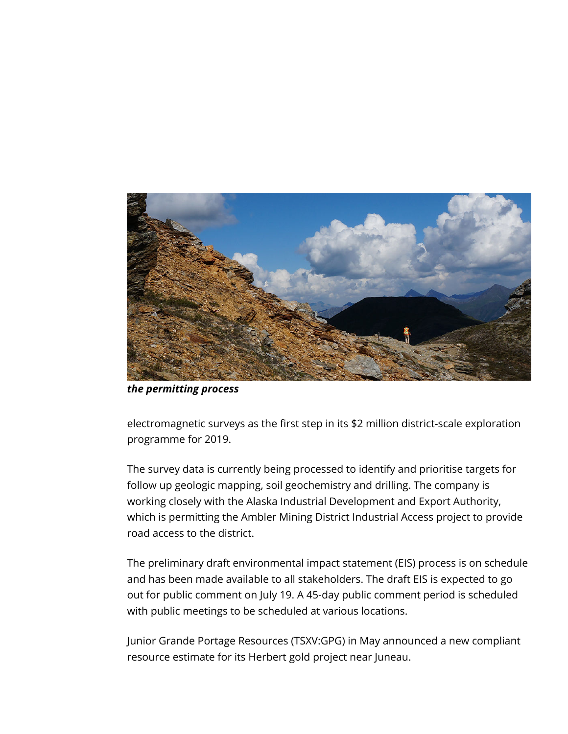

*the permitting process*

electromagnetic surveys as the first step in its \$2 million district-scale exploration programme for 2019.

The survey data is currently being processed to identify and prioritise targets for follow up geologic mapping, soil geochemistry and drilling. The company is working closely with the Alaska Industrial Development and Export Authority, which is permitting the Ambler Mining District Industrial Access project to provide road access to the district.

The preliminary draft environmental impact statement (EIS) process is on schedule and has been made available to all stakeholders. The draft EIS is expected to go out for public comment on July 19. A 45-day public comment period is scheduled with public meetings to be scheduled at various locations.

Junior Grande Portage Resources (TSXV:GPG) in May announced a new compliant resource estimate for its Herbert gold project near Juneau.